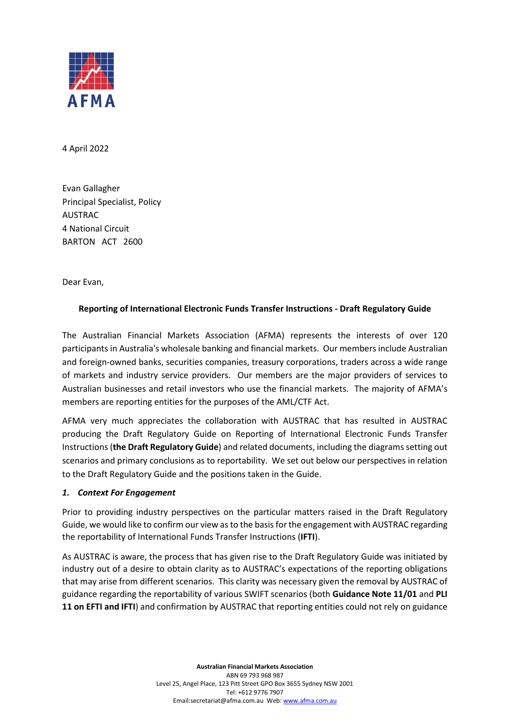

4 April 2022

Evan Gallagher Principal Specialist, Policy AUSTRAC 4 National Circuit BARTON ACT 2600

Dear Evan,

# **Reporting of International Electronic Funds Transfer Instructions - Draft Regulatory Guide**

The Australian Financial Markets Association (AFMA) represents the interests of over 120 participants in Australia's wholesale banking and financial markets. Our members include Australian and foreign-owned banks, securities companies, treasury corporations, traders across a wide range of markets and industry service providers. Our members are the major providers of services to Australian businesses and retail investors who use the financial markets. The majority of AFMA's members are reporting entities for the purposes of the AML/CTF Act.

AFMA very much appreciates the collaboration with AUSTRAC that has resulted in AUSTRAC producing the Draft Regulatory Guide on Reporting of International Electronic Funds Transfer Instructions (**the Draft Regulatory Guide**) and related documents, including the diagrams setting out scenarios and primary conclusions as to reportability. We set out below our perspectives in relation to the Draft Regulatory Guide and the positions taken in the Guide.

#### *1. Context For Engagement*

Prior to providing industry perspectives on the particular matters raised in the Draft Regulatory Guide, we would like to confirm our view as to the basis for the engagement with AUSTRAC regarding the reportability of International Funds Transfer Instructions (**IFTI**).

As AUSTRAC is aware, the process that has given rise to the Draft Regulatory Guide was initiated by industry out of a desire to obtain clarity as to AUSTRAC's expectations of the reporting obligations that may arise from different scenarios. This clarity was necessary given the removal by AUSTRAC of guidance regarding the reportability of various SWIFT scenarios (both **Guidance Note 11/01** and **PLI 11 on EFTI and IFTI**) and confirmation by AUSTRAC that reporting entities could not rely on guidance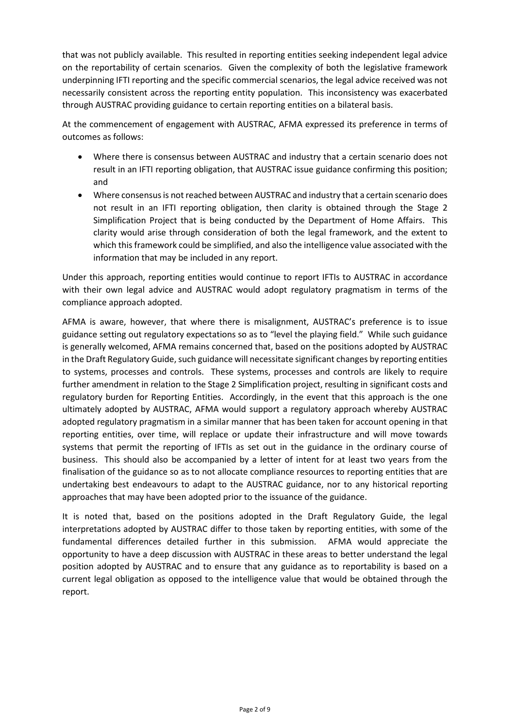that was not publicly available. This resulted in reporting entities seeking independent legal advice on the reportability of certain scenarios. Given the complexity of both the legislative framework underpinning IFTI reporting and the specific commercial scenarios, the legal advice received was not necessarily consistent across the reporting entity population. This inconsistency was exacerbated through AUSTRAC providing guidance to certain reporting entities on a bilateral basis.

At the commencement of engagement with AUSTRAC, AFMA expressed its preference in terms of outcomes as follows:

- Where there is consensus between AUSTRAC and industry that a certain scenario does not result in an IFTI reporting obligation, that AUSTRAC issue guidance confirming this position; and
- Where consensusis not reached between AUSTRAC and industry that a certain scenario does not result in an IFTI reporting obligation, then clarity is obtained through the Stage 2 Simplification Project that is being conducted by the Department of Home Affairs. This clarity would arise through consideration of both the legal framework, and the extent to which this framework could be simplified, and also the intelligence value associated with the information that may be included in any report.

Under this approach, reporting entities would continue to report IFTIs to AUSTRAC in accordance with their own legal advice and AUSTRAC would adopt regulatory pragmatism in terms of the compliance approach adopted.

AFMA is aware, however, that where there is misalignment, AUSTRAC's preference is to issue guidance setting out regulatory expectations so as to "level the playing field." While such guidance is generally welcomed, AFMA remains concerned that, based on the positions adopted by AUSTRAC in the Draft Regulatory Guide, such guidance will necessitate significant changes by reporting entities to systems, processes and controls. These systems, processes and controls are likely to require further amendment in relation to the Stage 2 Simplification project, resulting in significant costs and regulatory burden for Reporting Entities. Accordingly, in the event that this approach is the one ultimately adopted by AUSTRAC, AFMA would support a regulatory approach whereby AUSTRAC adopted regulatory pragmatism in a similar manner that has been taken for account opening in that reporting entities, over time, will replace or update their infrastructure and will move towards systems that permit the reporting of IFTIs as set out in the guidance in the ordinary course of business. This should also be accompanied by a letter of intent for at least two years from the finalisation of the guidance so as to not allocate compliance resources to reporting entities that are undertaking best endeavours to adapt to the AUSTRAC guidance, nor to any historical reporting approaches that may have been adopted prior to the issuance of the guidance.

It is noted that, based on the positions adopted in the Draft Regulatory Guide, the legal interpretations adopted by AUSTRAC differ to those taken by reporting entities, with some of the fundamental differences detailed further in this submission. AFMA would appreciate the opportunity to have a deep discussion with AUSTRAC in these areas to better understand the legal position adopted by AUSTRAC and to ensure that any guidance as to reportability is based on a current legal obligation as opposed to the intelligence value that would be obtained through the report.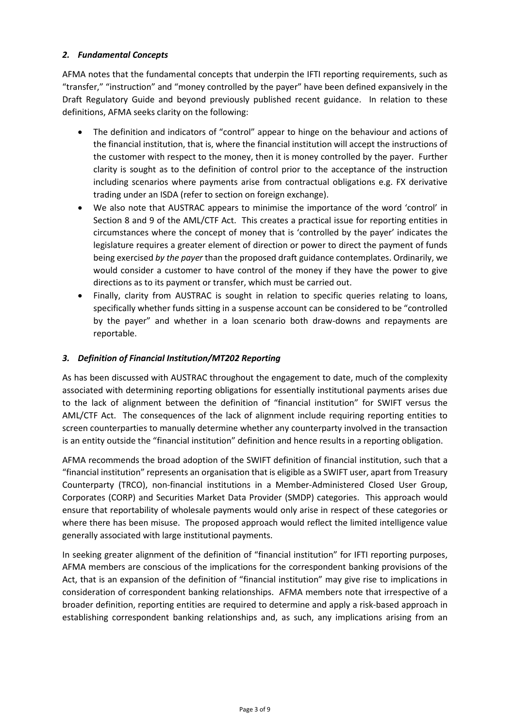## *2. Fundamental Concepts*

AFMA notes that the fundamental concepts that underpin the IFTI reporting requirements, such as "transfer," "instruction" and "money controlled by the payer" have been defined expansively in the Draft Regulatory Guide and beyond previously published recent guidance. In relation to these definitions, AFMA seeks clarity on the following:

- The definition and indicators of "control" appear to hinge on the behaviour and actions of the financial institution, that is, where the financial institution will accept the instructions of the customer with respect to the money, then it is money controlled by the payer. Further clarity is sought as to the definition of control prior to the acceptance of the instruction including scenarios where payments arise from contractual obligations e.g. FX derivative trading under an ISDA (refer to section on foreign exchange).
- We also note that AUSTRAC appears to minimise the importance of the word 'control' in Section 8 and 9 of the AML/CTF Act. This creates a practical issue for reporting entities in circumstances where the concept of money that is 'controlled by the payer' indicates the legislature requires a greater element of direction or power to direct the payment of funds being exercised *by the payer* than the proposed draft guidance contemplates. Ordinarily, we would consider a customer to have control of the money if they have the power to give directions as to its payment or transfer, which must be carried out.
- Finally, clarity from AUSTRAC is sought in relation to specific queries relating to loans, specifically whether funds sitting in a suspense account can be considered to be "controlled by the payer" and whether in a loan scenario both draw-downs and repayments are reportable.

## *3. Definition of Financial Institution/MT202 Reporting*

As has been discussed with AUSTRAC throughout the engagement to date, much of the complexity associated with determining reporting obligations for essentially institutional payments arises due to the lack of alignment between the definition of "financial institution" for SWIFT versus the AML/CTF Act. The consequences of the lack of alignment include requiring reporting entities to screen counterparties to manually determine whether any counterparty involved in the transaction is an entity outside the "financial institution" definition and hence results in a reporting obligation.

AFMA recommends the broad adoption of the SWIFT definition of financial institution, such that a "financial institution" represents an organisation that is eligible as a SWIFT user, apart from Treasury Counterparty (TRCO), non-financial institutions in a Member-Administered Closed User Group, Corporates (CORP) and Securities Market Data Provider (SMDP) categories. This approach would ensure that reportability of wholesale payments would only arise in respect of these categories or where there has been misuse. The proposed approach would reflect the limited intelligence value generally associated with large institutional payments.

In seeking greater alignment of the definition of "financial institution" for IFTI reporting purposes, AFMA members are conscious of the implications for the correspondent banking provisions of the Act, that is an expansion of the definition of "financial institution" may give rise to implications in consideration of correspondent banking relationships. AFMA members note that irrespective of a broader definition, reporting entities are required to determine and apply a risk-based approach in establishing correspondent banking relationships and, as such, any implications arising from an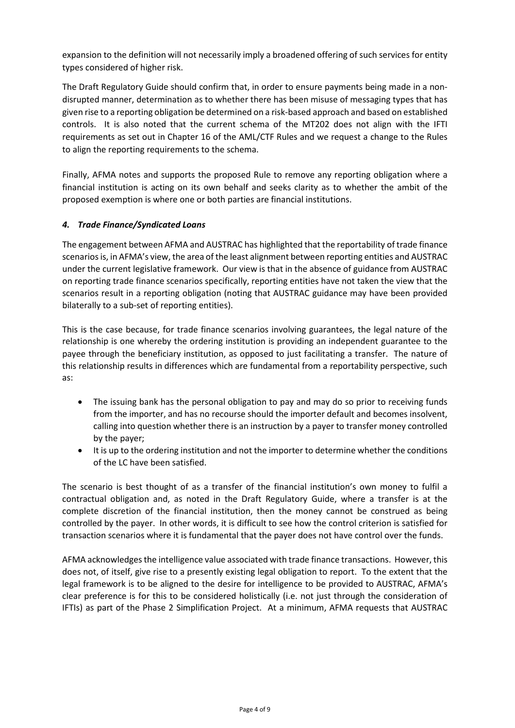expansion to the definition will not necessarily imply a broadened offering of such services for entity types considered of higher risk.

The Draft Regulatory Guide should confirm that, in order to ensure payments being made in a nondisrupted manner, determination as to whether there has been misuse of messaging types that has given rise to a reporting obligation be determined on a risk-based approach and based on established controls. It is also noted that the current schema of the MT202 does not align with the IFTI requirements as set out in Chapter 16 of the AML/CTF Rules and we request a change to the Rules to align the reporting requirements to the schema.

Finally, AFMA notes and supports the proposed Rule to remove any reporting obligation where a financial institution is acting on its own behalf and seeks clarity as to whether the ambit of the proposed exemption is where one or both parties are financial institutions.

## *4. Trade Finance/Syndicated Loans*

The engagement between AFMA and AUSTRAC has highlighted that the reportability of trade finance scenarios is, in AFMA's view, the area of the least alignment between reporting entities and AUSTRAC under the current legislative framework. Our view is that in the absence of guidance from AUSTRAC on reporting trade finance scenarios specifically, reporting entities have not taken the view that the scenarios result in a reporting obligation (noting that AUSTRAC guidance may have been provided bilaterally to a sub-set of reporting entities).

This is the case because, for trade finance scenarios involving guarantees, the legal nature of the relationship is one whereby the ordering institution is providing an independent guarantee to the payee through the beneficiary institution, as opposed to just facilitating a transfer. The nature of this relationship results in differences which are fundamental from a reportability perspective, such as:

- The issuing bank has the personal obligation to pay and may do so prior to receiving funds from the importer, and has no recourse should the importer default and becomes insolvent, calling into question whether there is an instruction by a payer to transfer money controlled by the payer;
- It is up to the ordering institution and not the importer to determine whether the conditions of the LC have been satisfied.

The scenario is best thought of as a transfer of the financial institution's own money to fulfil a contractual obligation and, as noted in the Draft Regulatory Guide, where a transfer is at the complete discretion of the financial institution, then the money cannot be construed as being controlled by the payer. In other words, it is difficult to see how the control criterion is satisfied for transaction scenarios where it is fundamental that the payer does not have control over the funds.

AFMA acknowledges the intelligence value associated with trade finance transactions. However, this does not, of itself, give rise to a presently existing legal obligation to report. To the extent that the legal framework is to be aligned to the desire for intelligence to be provided to AUSTRAC, AFMA's clear preference is for this to be considered holistically (i.e. not just through the consideration of IFTIs) as part of the Phase 2 Simplification Project. At a minimum, AFMA requests that AUSTRAC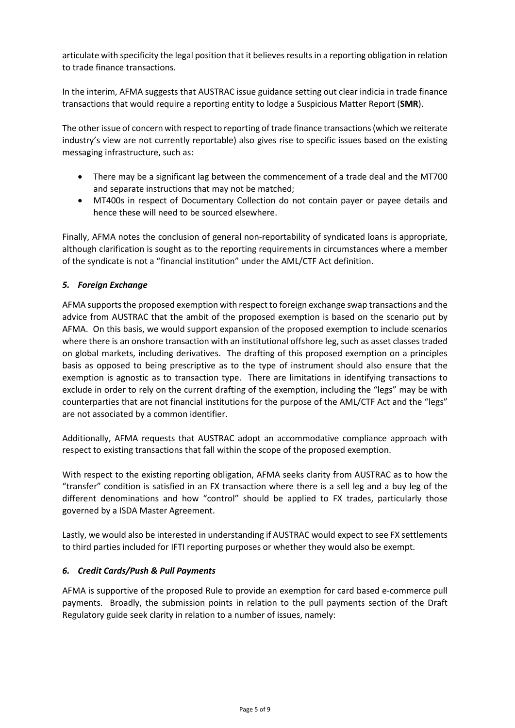articulate with specificity the legal position that it believes results in a reporting obligation in relation to trade finance transactions.

In the interim, AFMA suggests that AUSTRAC issue guidance setting out clear indicia in trade finance transactions that would require a reporting entity to lodge a Suspicious Matter Report (**SMR**).

The other issue of concern with respect to reporting of trade finance transactions (which we reiterate industry's view are not currently reportable) also gives rise to specific issues based on the existing messaging infrastructure, such as:

- There may be a significant lag between the commencement of a trade deal and the MT700 and separate instructions that may not be matched;
- MT400s in respect of Documentary Collection do not contain payer or payee details and hence these will need to be sourced elsewhere.

Finally, AFMA notes the conclusion of general non-reportability of syndicated loans is appropriate, although clarification is sought as to the reporting requirements in circumstances where a member of the syndicate is not a "financial institution" under the AML/CTF Act definition.

# *5. Foreign Exchange*

AFMA supports the proposed exemption with respect to foreign exchange swap transactions and the advice from AUSTRAC that the ambit of the proposed exemption is based on the scenario put by AFMA. On this basis, we would support expansion of the proposed exemption to include scenarios where there is an onshore transaction with an institutional offshore leg, such as asset classes traded on global markets, including derivatives. The drafting of this proposed exemption on a principles basis as opposed to being prescriptive as to the type of instrument should also ensure that the exemption is agnostic as to transaction type. There are limitations in identifying transactions to exclude in order to rely on the current drafting of the exemption, including the "legs" may be with counterparties that are not financial institutions for the purpose of the AML/CTF Act and the "legs" are not associated by a common identifier.

Additionally, AFMA requests that AUSTRAC adopt an accommodative compliance approach with respect to existing transactions that fall within the scope of the proposed exemption.

With respect to the existing reporting obligation, AFMA seeks clarity from AUSTRAC as to how the "transfer" condition is satisfied in an FX transaction where there is a sell leg and a buy leg of the different denominations and how "control" should be applied to FX trades, particularly those governed by a ISDA Master Agreement.

Lastly, we would also be interested in understanding if AUSTRAC would expect to see FX settlements to third parties included for IFTI reporting purposes or whether they would also be exempt.

# *6. Credit Cards/Push & Pull Payments*

AFMA is supportive of the proposed Rule to provide an exemption for card based e-commerce pull payments. Broadly, the submission points in relation to the pull payments section of the Draft Regulatory guide seek clarity in relation to a number of issues, namely: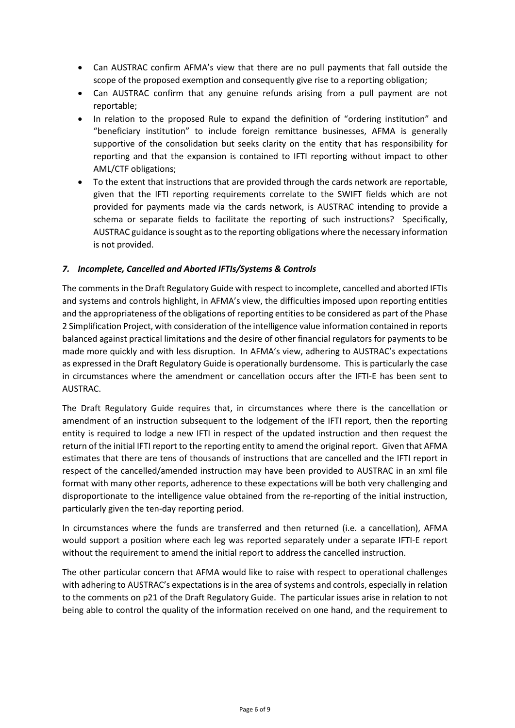- Can AUSTRAC confirm AFMA's view that there are no pull payments that fall outside the scope of the proposed exemption and consequently give rise to a reporting obligation;
- Can AUSTRAC confirm that any genuine refunds arising from a pull payment are not reportable;
- In relation to the proposed Rule to expand the definition of "ordering institution" and "beneficiary institution" to include foreign remittance businesses, AFMA is generally supportive of the consolidation but seeks clarity on the entity that has responsibility for reporting and that the expansion is contained to IFTI reporting without impact to other AML/CTF obligations;
- To the extent that instructions that are provided through the cards network are reportable, given that the IFTI reporting requirements correlate to the SWIFT fields which are not provided for payments made via the cards network, is AUSTRAC intending to provide a schema or separate fields to facilitate the reporting of such instructions? Specifically, AUSTRAC guidance is sought as to the reporting obligations where the necessary information is not provided.

## *7. Incomplete, Cancelled and Aborted IFTIs/Systems & Controls*

The comments in the Draft Regulatory Guide with respect to incomplete, cancelled and aborted IFTIs and systems and controls highlight, in AFMA's view, the difficulties imposed upon reporting entities and the appropriateness of the obligations of reporting entities to be considered as part of the Phase 2 Simplification Project, with consideration of the intelligence value information contained in reports balanced against practical limitations and the desire of other financial regulators for payments to be made more quickly and with less disruption. In AFMA's view, adhering to AUSTRAC's expectations as expressed in the Draft Regulatory Guide is operationally burdensome. This is particularly the case in circumstances where the amendment or cancellation occurs after the IFTI-E has been sent to AUSTRAC.

The Draft Regulatory Guide requires that, in circumstances where there is the cancellation or amendment of an instruction subsequent to the lodgement of the IFTI report, then the reporting entity is required to lodge a new IFTI in respect of the updated instruction and then request the return of the initial IFTI report to the reporting entity to amend the original report. Given that AFMA estimates that there are tens of thousands of instructions that are cancelled and the IFTI report in respect of the cancelled/amended instruction may have been provided to AUSTRAC in an xml file format with many other reports, adherence to these expectations will be both very challenging and disproportionate to the intelligence value obtained from the re-reporting of the initial instruction, particularly given the ten-day reporting period.

In circumstances where the funds are transferred and then returned (i.e. a cancellation), AFMA would support a position where each leg was reported separately under a separate IFTI-E report without the requirement to amend the initial report to address the cancelled instruction.

The other particular concern that AFMA would like to raise with respect to operational challenges with adhering to AUSTRAC's expectations is in the area of systems and controls, especially in relation to the comments on p21 of the Draft Regulatory Guide. The particular issues arise in relation to not being able to control the quality of the information received on one hand, and the requirement to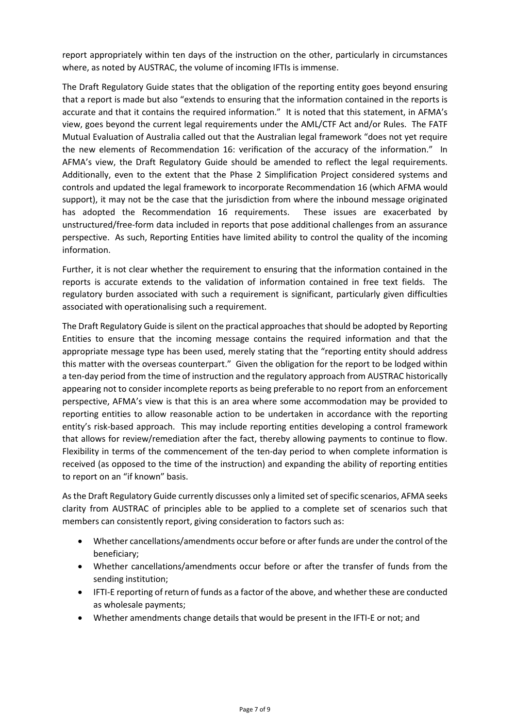report appropriately within ten days of the instruction on the other, particularly in circumstances where, as noted by AUSTRAC, the volume of incoming IFTIs is immense.

The Draft Regulatory Guide states that the obligation of the reporting entity goes beyond ensuring that a report is made but also "extends to ensuring that the information contained in the reports is accurate and that it contains the required information." It is noted that this statement, in AFMA's view, goes beyond the current legal requirements under the AML/CTF Act and/or Rules. The FATF Mutual Evaluation of Australia called out that the Australian legal framework "does not yet require the new elements of Recommendation 16: verification of the accuracy of the information." In AFMA's view, the Draft Regulatory Guide should be amended to reflect the legal requirements. Additionally, even to the extent that the Phase 2 Simplification Project considered systems and controls and updated the legal framework to incorporate Recommendation 16 (which AFMA would support), it may not be the case that the jurisdiction from where the inbound message originated has adopted the Recommendation 16 requirements. These issues are exacerbated by unstructured/free-form data included in reports that pose additional challenges from an assurance perspective. As such, Reporting Entities have limited ability to control the quality of the incoming information.

Further, it is not clear whether the requirement to ensuring that the information contained in the reports is accurate extends to the validation of information contained in free text fields. The regulatory burden associated with such a requirement is significant, particularly given difficulties associated with operationalising such a requirement.

The Draft Regulatory Guide is silent on the practical approaches that should be adopted by Reporting Entities to ensure that the incoming message contains the required information and that the appropriate message type has been used, merely stating that the "reporting entity should address this matter with the overseas counterpart." Given the obligation for the report to be lodged within a ten-day period from the time of instruction and the regulatory approach from AUSTRAC historically appearing not to consider incomplete reports as being preferable to no report from an enforcement perspective, AFMA's view is that this is an area where some accommodation may be provided to reporting entities to allow reasonable action to be undertaken in accordance with the reporting entity's risk-based approach. This may include reporting entities developing a control framework that allows for review/remediation after the fact, thereby allowing payments to continue to flow. Flexibility in terms of the commencement of the ten-day period to when complete information is received (as opposed to the time of the instruction) and expanding the ability of reporting entities to report on an "if known" basis.

As the Draft Regulatory Guide currently discusses only a limited set of specific scenarios, AFMA seeks clarity from AUSTRAC of principles able to be applied to a complete set of scenarios such that members can consistently report, giving consideration to factors such as:

- Whether cancellations/amendments occur before or after funds are under the control of the beneficiary;
- Whether cancellations/amendments occur before or after the transfer of funds from the sending institution;
- IFTI-E reporting of return of funds as a factor of the above, and whether these are conducted as wholesale payments;
- Whether amendments change details that would be present in the IFTI-E or not; and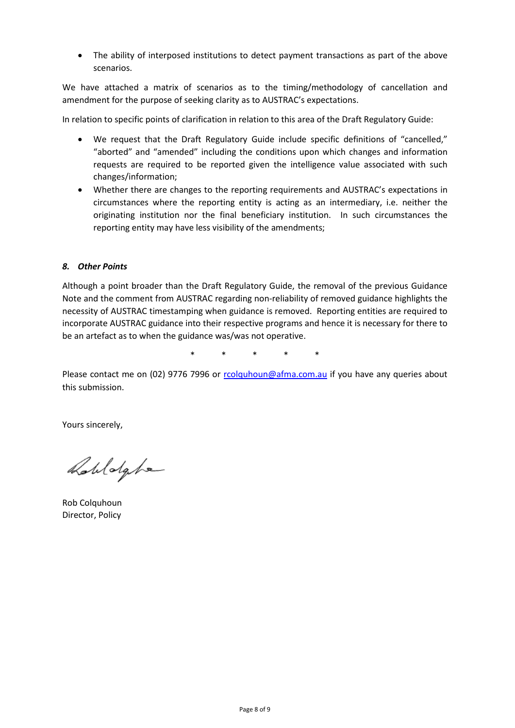• The ability of interposed institutions to detect payment transactions as part of the above scenarios.

We have attached a matrix of scenarios as to the timing/methodology of cancellation and amendment for the purpose of seeking clarity as to AUSTRAC's expectations.

In relation to specific points of clarification in relation to this area of the Draft Regulatory Guide:

- We request that the Draft Regulatory Guide include specific definitions of "cancelled," "aborted" and "amended" including the conditions upon which changes and information requests are required to be reported given the intelligence value associated with such changes/information;
- Whether there are changes to the reporting requirements and AUSTRAC's expectations in circumstances where the reporting entity is acting as an intermediary, i.e. neither the originating institution nor the final beneficiary institution. In such circumstances the reporting entity may have less visibility of the amendments;

## *8. Other Points*

Although a point broader than the Draft Regulatory Guide, the removal of the previous Guidance Note and the comment from AUSTRAC regarding non-reliability of removed guidance highlights the necessity of AUSTRAC timestamping when guidance is removed. Reporting entities are required to incorporate AUSTRAC guidance into their respective programs and hence it is necessary for there to be an artefact as to when the guidance was/was not operative.

\* \* \* \* \*

Please contact me on (02) 9776 7996 or rcolguhoun@afma.com.au if you have any queries about this submission.

Yours sincerely,

Robldghe

Rob Colquhoun Director, Policy